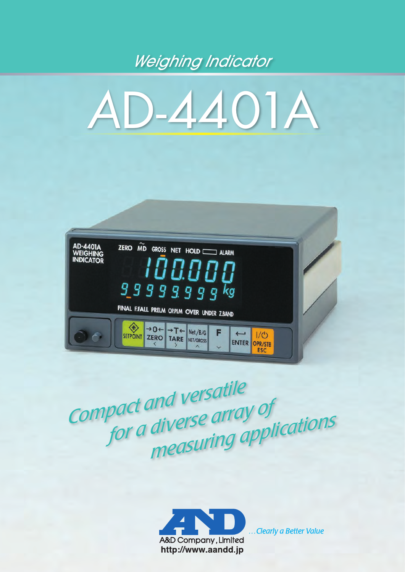## *Weighing Indicator*





*Compact and versatile compact and verse array of <i>for a diverse array of corrient of a diverse directly por a diverse directly applications* 



...Clearly a Better Value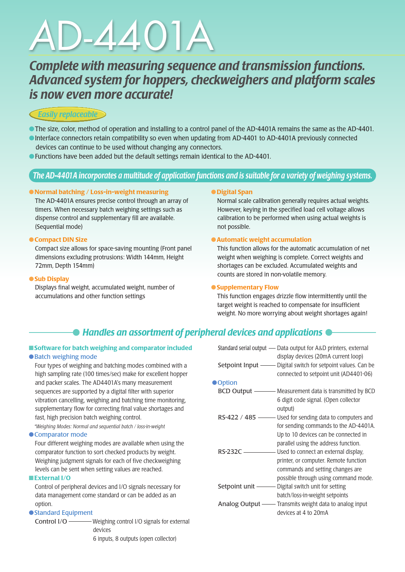# *A*D-4401A

### *Complete with measuring sequence and transmission functions. Advanced system for hoppers, checkweighers and platform scales is now even more accurate!*

#### *Easily replaceable*

- ●The size, color, method of operation and installing to a control panel of the AD-4401A remains the same as the AD-4401.
- ●Interface connectors retain compatibility so even when updating from AD-4401 to AD-4401A previously connected devices can continue to be used without changing any connectors.
- ●Functions have been added but the default settings remain identical to the AD-4401.

#### *The AD-4401A incorporates a multitude of application functions and is suitable for a variety of weighing systems.*

#### ●Normal batching / Loss-in-weight measuring

 The AD-4401A ensures precise control through an array of timers. When necessary batch weighing settings such as dispense control and supplementary fill are available. (Sequential mode)

#### ● Compact DIN Size

 Compact size allows for space-saving mounting (Front panel dimensions excluding protrusions: Width 144mm, Height 72mm, Depth 154mm)

#### ● Sub Display

 Displays final weight, accumulated weight, number of accumulations and other function settings

#### ●Digital Span

 Normal scale calibration generally requires actual weights. However, keying in the specified load cell voltage allows calibration to be performed when using actual weights is not possible.

#### ● Automatic weight accumulation

 This function allows for the automatic accumulation of net weight when weighing is complete. Correct weights and shortages can be excluded. Accumulated weights and counts are stored in non-volatile memory.

#### ● Supplementary Flow

 This function engages drizzle flow intermittently until the target weight is reached to compensate for insufficient weight. No more worrying about weight shortages again!

### *Handles an assortment of peripheral devices and applications*

#### ■ Software for batch weighing and comparator included ● Batch weighing mode

 Four types of weighing and batching modes combined with a high sampling rate (100 times/sec) make for excellent hopper and packer scales. The AD4401A's many measurement sequences are supported by a digital filter with superior vibration cancelling, weighing and batching time monitoring, supplementary flow for correcting final value shortages and fast, high precision batch weighing control.

 *\*Weighing Modes: Normal and sequential batch / loss-in-weight*

#### ● Comparator mode

 Four different weighing modes are available when using the comparator function to sort checked products by weight. Weighing judgment signals for each of five checkweighing levels can be sent when setting values are reached.

#### ■External I/O

 Control of peripheral devices and I/O signals necessary for data management come standard or can be added as an option.

#### ● Standard Equipment

Control I/O ———— Weighing control I/O signals for external devices 6 inputs, 8 outputs (open collector)

|            | Standard serial output — Data output for A&D printers, external<br>display devices (20mA current loop)                                                                         |
|------------|--------------------------------------------------------------------------------------------------------------------------------------------------------------------------------|
|            | Setpoint Input - Digital switch for setpoint values. Can be<br>connected to setpoint unit (AD4401-06)                                                                          |
| ● Option   |                                                                                                                                                                                |
|            | 6 digit code signal. (Open collector<br>output)                                                                                                                                |
|            | RS-422 / 485 - Used for sending data to computers and<br>for sending commands to the AD-4401A.<br>Up to 10 devices can be connected in<br>parallel using the address function. |
| RS-232C —— | printer, or computer. Remote function<br>commands and setting changes are<br>possible through using command mode.                                                              |
|            |                                                                                                                                                                                |
|            | batch/loss-in-weight setpoints<br>Analog Output - Transmits weight data to analog input<br>devices at 4 to 20mA                                                                |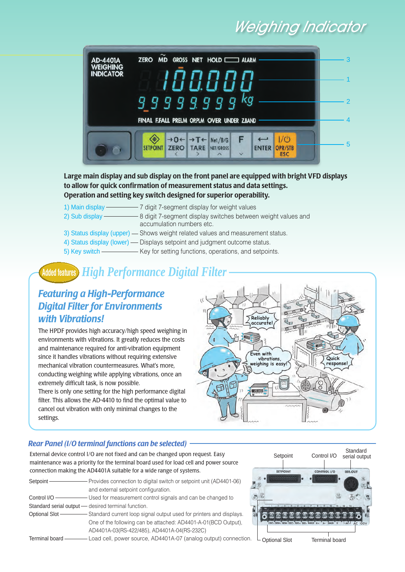## *Weighing Indicator*



Large main display and sub display on the front panel are equipped with bright VFD displays to allow for quick confirmation of measurement status and data settings. Operation and setting key switch designed for superior operability.

- 1) Main display 7 digit 7-segment display for weight values
- 2) Sub display  $-8$  digit 7-segment display switches between weight values and accumulation numbers etc.
- 3) Status display (upper) Shows weight related values and measurement status.
- 4) Status display (lower) Displays setpoint and judgment outcome status.
- 5) Key switch - Key for setting functions, operations, and setpoints.

### *High Performance Digital Filter* **Added features**

#### *Featuring a High-Performance Digital Filter for Environments with Vibrations!*

The HPDF provides high accuracy/high speed weighing in environments with vibrations. It greatly reduces the costs and maintenance required for anti-vibration equipment since it handles vibrations without requiring extensive mechanical vibration countermeasures. What's more, conducting weighing while applying vibrations, once an extremely difficult task, is now possible.

There is only one setting for the high performance digital filter. This allows the AD-4410 to find the optimal value to cancel out vibration with only minimal changes to the settings.



#### *Rear Panel (I/O terminal functions can be selected)*

External device control I/O are not fixed and can be changed upon request. Easy maintenance was a priority for the terminal board used for load cell and power source connection making the AD4401A suitable for a wide range of systems.

| Setpoint- | - Provides connection to digital switch or setpoint unit (AD4401-06)<br>and external setpoint configuration.                                                                                                                       |
|-----------|------------------------------------------------------------------------------------------------------------------------------------------------------------------------------------------------------------------------------------|
|           | <b>Control I/O</b> Section Section Section Section Section Section Section Section Section Section Section Section Section Section Section Section Section Section Section Section Section Section Section Section Section Section |
|           | Standard serial output - desired terminal function.                                                                                                                                                                                |
|           |                                                                                                                                                                                                                                    |
|           | One of the following can be attached: AD4401-A-01(BCD Output),                                                                                                                                                                     |
|           | AD4401A-03(RS-422/485), AD4401A-04(RS-232C)                                                                                                                                                                                        |
|           | Terminal board - Load cell, power source, AD4401A-07 (analog output) connection.                                                                                                                                                   |



Optional Slot Terminal board